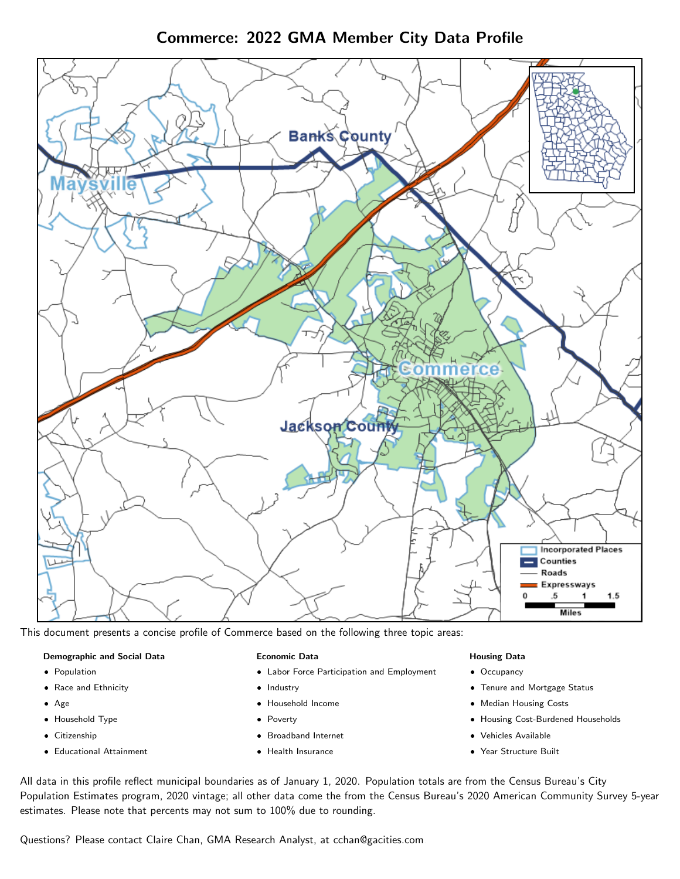# Commerce: 2022 GMA Member City Data Profile



This document presents a concise profile of Commerce based on the following three topic areas:

#### Demographic and Social Data

- **•** Population
- Race and Ethnicity
- Age
- Household Type
- **Citizenship**
- Educational Attainment

#### Economic Data

- Labor Force Participation and Employment
- Industry
- Household Income
- Poverty
- Broadband Internet
- Health Insurance

#### Housing Data

- Occupancy
- Tenure and Mortgage Status
- Median Housing Costs
- Housing Cost-Burdened Households
- Vehicles Available
- Year Structure Built

All data in this profile reflect municipal boundaries as of January 1, 2020. Population totals are from the Census Bureau's City Population Estimates program, 2020 vintage; all other data come the from the Census Bureau's 2020 American Community Survey 5-year estimates. Please note that percents may not sum to 100% due to rounding.

Questions? Please contact Claire Chan, GMA Research Analyst, at [cchan@gacities.com.](mailto:cchan@gacities.com)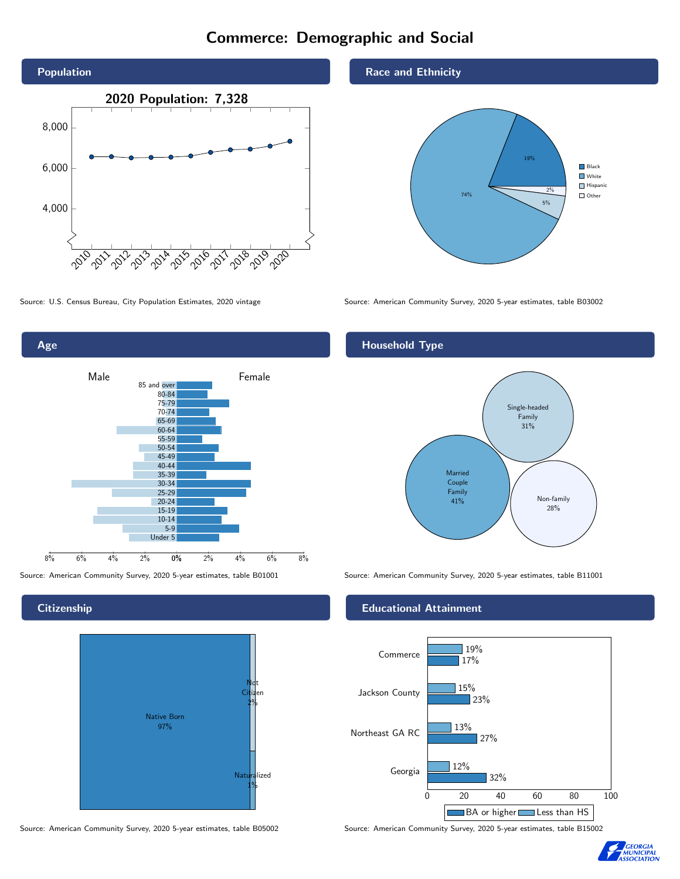# Commerce: Demographic and Social



Age 0% 2% 4% 6% 8% Male <u>John Halle</u> Female 8% 6% 4% 2% 85 and over 80-84 75-79 70-74 65-69 60-64 55-59 50-54 45-49 40-44 35-39 30-34 25-29 20-24 15-19  $10-14$ 5-9 Under 5

**Citizenship** 



Source: American Community Survey, 2020 5-year estimates, table B05002 Source: American Community Survey, 2020 5-year estimates, table B15002

Race and Ethnicity



Source: U.S. Census Bureau, City Population Estimates, 2020 vintage Source: American Community Survey, 2020 5-year estimates, table B03002

## Household Type



Source: American Community Survey, 2020 5-year estimates, table B01001 Source: American Community Survey, 2020 5-year estimates, table B11001

### Educational Attainment



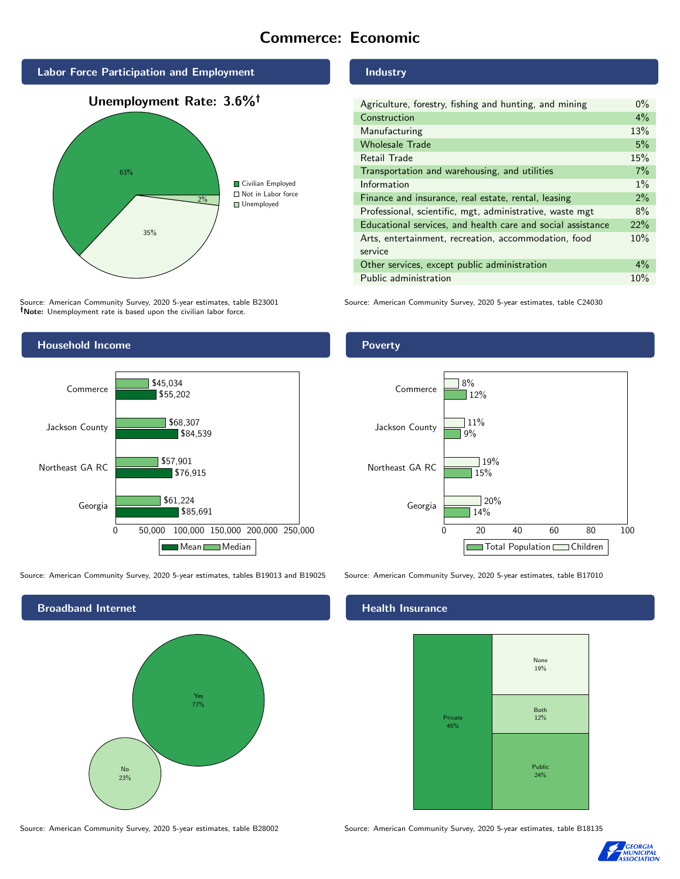# Commerce: Economic



Source: American Community Survey, 2020 5-year estimates, table B23001 Note: Unemployment rate is based upon the civilian labor force.



Source: American Community Survey, 2020 5-year estimates, tables B19013 and B19025 Source: American Community Survey, 2020 5-year estimates, table B17010



Industry

| Agriculture, forestry, fishing and hunting, and mining      | $0\%$ |
|-------------------------------------------------------------|-------|
| Construction                                                | $4\%$ |
| Manufacturing                                               | 13%   |
| <b>Wholesale Trade</b>                                      | 5%    |
| Retail Trade                                                | 15%   |
| Transportation and warehousing, and utilities               | 7%    |
| Information                                                 | $1\%$ |
| Finance and insurance, real estate, rental, leasing         | 2%    |
| Professional, scientific, mgt, administrative, waste mgt    | 8%    |
| Educational services, and health care and social assistance | 22%   |
| Arts, entertainment, recreation, accommodation, food        | 10%   |
| service                                                     |       |
| Other services, except public administration                | $4\%$ |
| Public administration                                       | 10%   |

Source: American Community Survey, 2020 5-year estimates, table C24030

Poverty



## **Health Insurance**



Source: American Community Survey, 2020 5-year estimates, table B28002 Source: American Community Survey, 2020 5-year estimates, table B18135